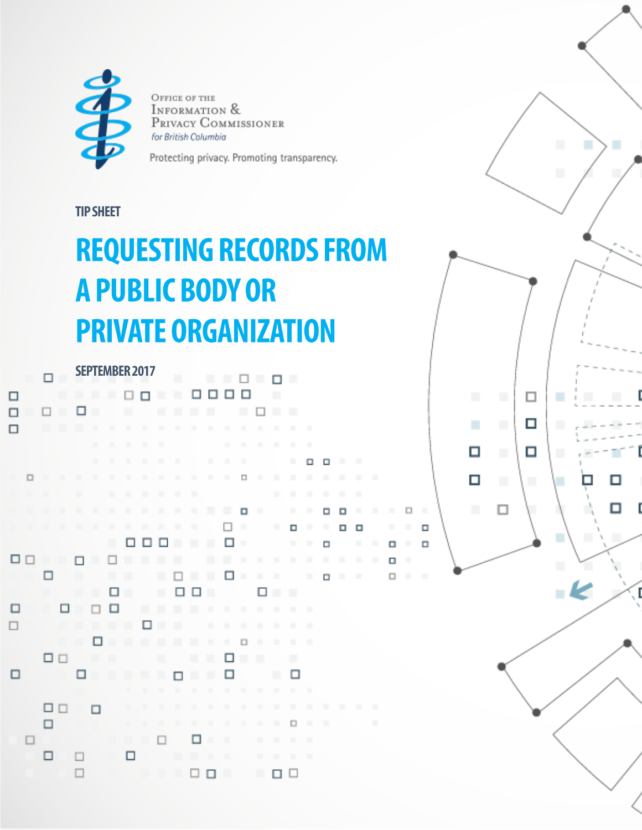

OFFICE OF THE INFORMATION & PRIVACY COMMISSIONER for British Columbia

Protecting privacy. Promoting transparency.

п

□

 $\Box$ 

 $\Box$ 

п

п

П

 $\Box$ 

 $\Box$ Ξ  $\Box$ 

٠

◻

◻

п

## **TIP SHEET**

## **REQUESTING RECORDS FROM A PUBLIC BODY OR PRIVATE ORGANIZATION**

|    |        | □              | $\mathbf{u}$   | <b>SEPTEMBER 2017</b> |                |                |                |                |                |                | .              |                |                | $\Box$         |                | п              | ш              |                |        |   |                |   |   |
|----|--------|----------------|----------------|-----------------------|----------------|----------------|----------------|----------------|----------------|----------------|----------------|----------------|----------------|----------------|----------------|----------------|----------------|----------------|--------|---|----------------|---|---|
| □  |        |                |                | . .                   |                |                | $\Box$ $\Box$  |                |                | $\blacksquare$ |                | □□             | □              | □              |                |                |                |                |        |   |                |   |   |
| □  |        | □              |                | □                     | $\blacksquare$ |                | ٠              |                |                |                | ш              | ш              |                |                | □              |                |                |                |        |   |                |   |   |
|    |        |                |                |                       |                | $\mathbb{R}$   |                |                |                |                |                |                |                |                |                |                |                |                |        |   |                |   |   |
|    |        |                |                |                       |                |                |                |                |                |                |                |                |                |                |                | $\mathbf{m}$   |                |                |        |   |                |   |   |
|    |        |                |                |                       |                | $\blacksquare$ |                |                |                |                |                |                |                |                |                |                | ٠              | α              | □      |   |                |   |   |
| п  | $\Box$ |                |                |                       |                |                |                |                |                |                |                |                |                | □              | $\blacksquare$ |                |                | $\blacksquare$ | ٠      |   |                |   |   |
| п  | m      | п              |                | ٠                     |                | ٠              |                |                |                | ٠              | ٠              |                |                |                |                |                | ٠              | $\mathbf{u}$   |        |   |                |   |   |
| m. | m.     | $\blacksquare$ | ш              | ٠                     | $\blacksquare$ | $\blacksquare$ |                | $\blacksquare$ |                |                |                |                |                | $\Box$         |                |                | ٠              | ш              | □      | □ |                | ш |   |
|    | m.     |                |                | ٠                     |                |                |                |                |                |                |                |                | □              | $\blacksquare$ |                |                | о              |                | ٠      | α | o              |   |   |
|    |        |                |                |                       |                | ш              |                | □□             | $\Box$         |                |                |                | □              |                |                |                | $\blacksquare$ | $\blacksquare$ | $\Box$ |   | $\blacksquare$ | п | □ |
|    | □□     |                | $\blacksquare$ |                       | ш              | $\Box$         |                | ٠              | $\blacksquare$ |                |                | ٠              | ٠              | $\mathbb{R}$   | ٠              |                | ٠              | $\mathbb R$    |        | ш |                | ш | □ |
|    |        | □              |                | ш                     |                | ٠              |                |                | ٠              | $\Box$         |                | ٠              | □              | $\mathbb{R}^n$ | $\blacksquare$ |                |                | $\blacksquare$ | о      |   | ٠              |   | □ |
|    |        |                |                | ш                     | ш              | □              |                |                | ш              | □              | $\Box$         |                |                |                | □              | ш              | ٠              |                |        |   |                |   |   |
| □  |        | m              | □              | п                     | □              | □              |                |                | ٠              | . .            |                | $\blacksquare$ | $\blacksquare$ | $\blacksquare$ | $\blacksquare$ | $\blacksquare$ | $\blacksquare$ |                |        |   |                |   |   |
|    |        |                | m              | ш                     |                |                | $\blacksquare$ | □              | $\blacksquare$ |                |                |                | ٠              | $\mathbb{R}$   | ٠              | $\mathbf{u}$   | ٠              | ш              |        |   |                |   |   |
|    |        |                | . .            |                       | □              |                |                |                | ш              |                | ш              | $\blacksquare$ | ٠              | $\Box$         | $\blacksquare$ | $\mathbf{u}$   |                |                |        |   |                |   |   |
|    |        | □□             |                |                       | ш              |                |                |                | $\blacksquare$ |                | $\blacksquare$ | $\blacksquare$ | □              |                | ٠              |                |                |                |        |   |                |   |   |
| □  |        |                |                | □                     |                |                | ш              | ш              | ш              | п              |                |                | □              |                |                | ■              | □              |                |        |   |                |   |   |
|    |        |                |                |                       |                |                |                |                |                |                |                |                |                |                |                |                |                |                |        |   |                |   |   |
|    |        | □□             |                |                       | □              |                |                | $\blacksquare$ |                |                | $\mathbf{u}$   |                | $\blacksquare$ |                |                |                |                |                |        |   |                | ш |   |
|    |        | □              |                |                       |                |                | m.             |                |                |                |                |                | $\mathbf{H}$   |                | $\mathbf{u}$   |                | $\Box$         | $\blacksquare$ |        |   |                | ш |   |
|    |        |                |                |                       |                | œ              | œ.             |                | □              |                | □              | $\blacksquare$ |                |                | ٠              |                |                |                |        |   |                |   |   |
|    |        | □              |                | □                     |                |                | □              |                |                | ш              | $\blacksquare$ |                |                |                |                | $\mathbf{H}$   |                | ш              |        |   |                |   |   |
|    |        |                |                |                       |                |                |                |                |                |                | □□             |                | ш              |                | ш              | □              | □              |                |        |   |                |   |   |